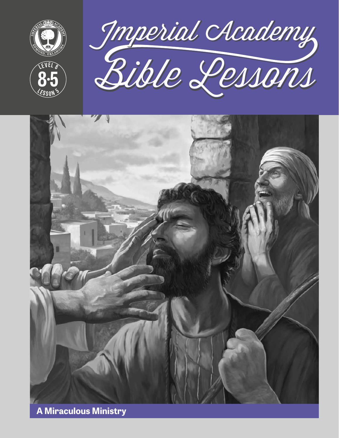

**<sup>L</sup>ES<sup>S</sup> <sup>O</sup> <sup>N</sup> <sup>5</sup>**

**8 5**





**A Miraculous Ministry**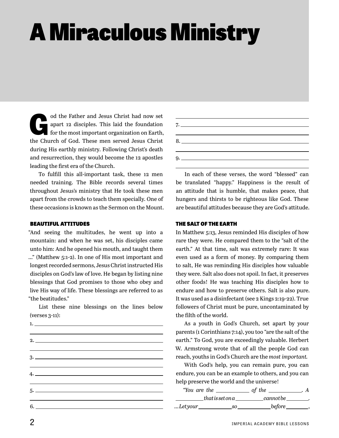# A Miraculous Ministry

od the Father and Jesus Christ had now set<br>apart 12 disciples. This laid the foundation<br>for the most important organization on Earth, apart 12 disciples. This laid the foundation for the most important organization on Earth, the Church of God. These men served Jesus Christ during His earthly ministry. Following Christ's death and resurrection, they would become the 12 apostles leading the first era of the Church.

To fulfill this all-important task, these 12 men needed training. The Bible records several times throughout Jesus's ministry that He took these men apart from the crowds to teach them specially. One of these occasions is known as the Sermon on the Mount.

#### BEAUTIFUL ATTITUDES

"And seeing the multitudes, he went up into a mountain: and when he was set, his disciples came unto him: And he opened his mouth, and taught them …" (Matthew 5:1-2). In one of His most important and longest recorded sermons, Jesus Christ instructed His disciples on God's law of love. He began by listing nine blessings that God promises to those who obey and live His way of life. These blessings are referred to as "the beatitudes."

List these nine blessings on the lines below (verses 3-11):



| 7. |  |
|----|--|
|    |  |
| 8. |  |
|    |  |
|    |  |
|    |  |

In each of these verses, the word "blessed" can be translated "happy." Happiness is the result of an attitude that is humble, that makes peace, that hungers and thirsts to be righteous like God. These are beautiful attitudes because they are God's attitude.

#### THE SALT OF THE EARTH

In Matthew 5:13, Jesus reminded His disciples of how rare they were. He compared them to the "salt of the earth." At that time, salt was extremely rare: It was even used as a form of money. By comparing them to salt, He was reminding His disciples how valuable they were. Salt also does not spoil. In fact, it preserves other foods! He was teaching His disciples how to endure and how to preserve others. Salt is also pure. It was used as a disinfectant (see 2 Kings 2:19-22). True followers of Christ must be pure, uncontaminated by the filth of the world.

As a youth in God's Church, set apart by your parents (1 Corinthians 7:14), you too "are the salt of the earth." To God, you are exceedingly valuable. Herbert W. Armstrong wrote that of all the people God can reach, youths in God's Church are the *most important.*

With God's help, you can remain pure, you can endure, you can be an example to others, and you can help preserve the world and the universe!

| "You are the |                  | of the     |  |
|--------------|------------------|------------|--|
|              | that is set on a | .cannot be |  |
| Letyour      | - SO             | .before    |  |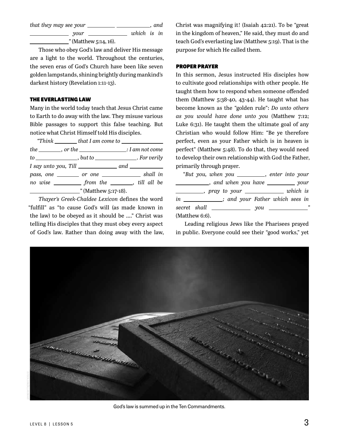*that they may see your \_\_\_\_\_\_\_\_\_\_\_\_\_\_\_\_\_\_\_\_\_\_\_\_\_, and your which is in* 

*"* (Matthew 5:14, 16).

Those who obey God's law and deliver His message are a light to the world. Throughout the centuries, the seven eras of God's Church have been like seven golden lampstands, shining brightly during mankind's darkest history (Revelation 1:11-13).

#### THE EVERLASTING LAW

Many in the world today teach that Jesus Christ came to Earth to do away with the law. They misuse various Bible passages to support this false teaching. But notice what Christ Himself told His disciples.

| the ________, or the _____________________: I am not come |  |  |
|-----------------------------------------------------------|--|--|
| to ______________, but to _______________. For verily     |  |  |
| $I$ say unto you, Till $\_\_\_\_\_$ and $\_\_\_\_\_\_\_$  |  |  |
| pass, one _________ or one _______________ shall in       |  |  |
| no wise ____________ from the ________, till all be       |  |  |
| $\frac{\phantom{1}}{2}$ (Matthew 5:17-18).                |  |  |

*Thayer's Greek-Chaldee Lexicon* defines the word "fulfill" as "to cause God's will (as made known in the law) to be obeyed as it should be …." Christ was telling His disciples that they must obey every aspect of God's law. Rather than doing away with the law,

Christ was magnifying it! (Isaiah 42:21). To be "great in the kingdom of heaven," He said, they must do and teach God's everlasting law (Matthew 5:19). That is the purpose for which He called them.

#### PROPER PRAYER

In this sermon, Jesus instructed His disciples how to cultivate good relationships with other people. He taught them how to respond when someone offended them (Matthew 5:38-40, 43-44). He taught what has become known as the "golden rule": *Do unto others as you would have done unto you* (Matthew 7:12; Luke 6:31). He taught them the ultimate goal of any Christian who would follow Him: "Be ye therefore perfect, even as your Father which is in heaven is perfect" (Matthew 5:48). To do that, they would need to develop their own relationship with God the Father, primarily through prayer.

|                | "But you, when you _________, enter into your      |  |   |
|----------------|----------------------------------------------------|--|---|
|                | _____________, and when you have ___________ your  |  |   |
|                | ___________, pray to your _______________ which is |  |   |
|                | in ____________; and your Father which sees in     |  |   |
|                |                                                    |  | " |
| (Matthew 6:6). |                                                    |  |   |

Leading religious Jews like the Pharisees prayed in public. Everyone could see their "good works," yet



God's law is summed up in the Ten Commandments.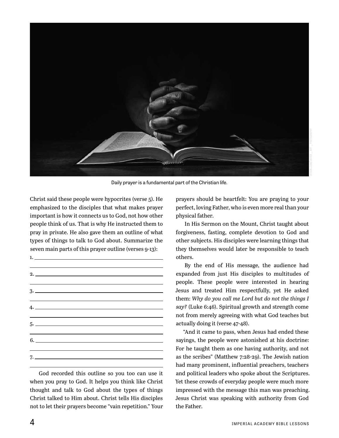

Daily prayer is a fundamental part of the Christian life.

Christ said these people were hypocrites (verse 5). He emphasized to the disciples that what makes prayer important is how it connects us to God, not how other people think of us. That is why He instructed them to pray in private. He also gave them an outline of what types of things to talk to God about. Summarize the seven main parts of this prayer outline (verses 9-13):

1. 2. 3. 4. 5. 6. 7.

God recorded this outline so you too can use it when you pray to God. It helps you think like Christ thought and talk to God about the types of things Christ talked to Him about. Christ tells His disciples not to let their prayers become "vain repetition." Your

prayers should be heartfelt: You are praying to your perfect, loving Father, who is even more real than your physical father.

In His Sermon on the Mount, Christ taught about forgiveness, fasting, complete devotion to God and other subjects. His disciples were learning things that they themselves would later be responsible to teach others.

By the end of His message, the audience had expanded from just His disciples to multitudes of people. These people were interested in hearing Jesus and treated Him respectfully, yet He asked them: *Why do you call me Lord but do not the things I say?* (Luke 6:46). Spiritual growth and strength come not from merely agreeing with what God teaches but actually doing it (verse 47-48).

"And it came to pass, when Jesus had ended these sayings, the people were astonished at his doctrine: For he taught them as one having authority, and not as the scribes" (Matthew 7:28-29). The Jewish nation had many prominent, influential preachers, teachers and political leaders who spoke about the Scriptures. Yet these crowds of everyday people were much more impressed with the message this man was preaching. Jesus Christ was speaking with authority from God the Father.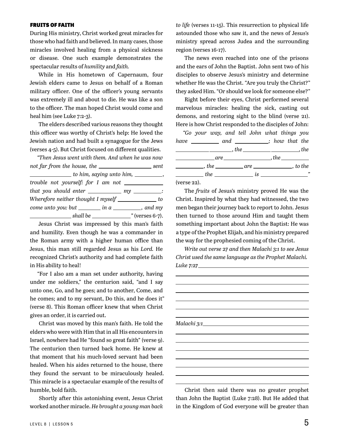#### FRUITS OF FAITH

During His ministry, Christ worked great miracles for those who had faith and believed. In many cases, those miracles involved healing from a physical sickness or disease. One such example demonstrates the spectacular results of *humility* and *faith.*

While in His hometown of Capernaum, four Jewish elders came to Jesus on behalf of a Roman military officer. One of the officer's young servants was extremely ill and about to die. He was like a son to the officer. The man hoped Christ would come and heal him (see Luke 7:2-3).

The elders described various reasons they thought this officer was worthy of Christ's help: He loved the Jewish nation and had built a synagogue for the Jews (verses 4-5). But Christ focused on different qualities.

| "Then Jesus went with them. And when he was now                |  |
|----------------------------------------------------------------|--|
|                                                                |  |
| $\frac{1}{1}$ to him, saying unto him, $\frac{1}{1}$ ,         |  |
| trouble not yourself: for I am not ____________                |  |
| that you should enter _____________ my _________:              |  |
| Wherefore neither thought I myself ______________ to           |  |
| come unto you: but $\_\_\_\_\_\$ in a $\_\_\_\_\_\_\$ , and my |  |
|                                                                |  |

Jesus Christ was impressed by this man's faith and humility. Even though he was a commander in the Roman army with a higher human office than Jesus, this man still regarded Jesus as his *Lord.* He recognized Christ's authority and had complete faith in His ability to heal!

"For I also am a man set under authority, having under me soldiers," the centurion said, "and I say unto one, Go, and he goes; and to another, Come, and he comes; and to my servant, Do this, and he does it" (verse 8). This Roman officer knew that when Christ gives an order, it is carried out.

Christ was moved by this man's faith. He told the elders who were with Him that in all His encounters in Israel, nowhere had He "found so great faith" (verse 9). The centurion then turned back home. He knew at that moment that his much-loved servant had been healed. When his aides returned to the house, there they found the servant to be miraculously healed. This miracle is a spectacular example of the results of humble, bold faith.

Shortly after this astonishing event, Jesus Christ worked another miracle. *He brought a young man back* 

*to life* (verses 11-15). This resurrection to physical life astounded those who saw it, and the news of Jesus's ministry spread across Judea and the surrounding region (verses 16-17).

The news even reached into one of the prisons and the ears of John the Baptist. John sent two of his disciples to observe Jesus's ministry and determine whether He was the Christ. "Are you truly the Christ?" they asked Him. "Or should we look for someone else?"

Right before their eyes, Christ performed several marvelous miracles: healing the sick, casting out demons, and restoring sight to the blind (verse 21). Here is how Christ responded to the disciples of John:

|                                                                                                                                                                                                                                                                                                                                                           |  |  | "Go your way, and tell John what things you |  |  |
|-----------------------------------------------------------------------------------------------------------------------------------------------------------------------------------------------------------------------------------------------------------------------------------------------------------------------------------------------------------|--|--|---------------------------------------------|--|--|
| have _____________ and _____________; how that the                                                                                                                                                                                                                                                                                                        |  |  |                                             |  |  |
|                                                                                                                                                                                                                                                                                                                                                           |  |  |                                             |  |  |
|                                                                                                                                                                                                                                                                                                                                                           |  |  |                                             |  |  |
| $\frac{1}{\sqrt{1-\frac{1}{2}}}\$ , the $\frac{1}{\sqrt{1-\frac{1}{2}}}\$ , to the                                                                                                                                                                                                                                                                        |  |  |                                             |  |  |
| $\frac{1}{2}$ the $\frac{1}{2}$ is $\frac{1}{2}$ is $\frac{1}{2}$ is $\frac{1}{2}$ $\frac{1}{2}$ $\frac{1}{2}$ $\frac{1}{2}$ $\frac{1}{2}$ $\frac{1}{2}$ $\frac{1}{2}$ $\frac{1}{2}$ $\frac{1}{2}$ $\frac{1}{2}$ $\frac{1}{2}$ $\frac{1}{2}$ $\frac{1}{2}$ $\frac{1}{2}$ $\frac{1}{2}$ $\frac{1}{2}$ $\frac{1}{2}$                                        |  |  |                                             |  |  |
| $\lambda$ and $\lambda$ and $\lambda$ and $\lambda$ and $\lambda$ and $\lambda$ and $\lambda$ and $\lambda$ and $\lambda$ and $\lambda$ and $\lambda$ and $\lambda$ and $\lambda$ and $\lambda$ and $\lambda$ and $\lambda$ and $\lambda$ and $\lambda$ and $\lambda$ and $\lambda$ and $\lambda$ and $\lambda$ and $\lambda$ and $\lambda$ and $\lambda$ |  |  |                                             |  |  |

(verse 22).

The *fruits* of Jesus's ministry proved He was the Christ. Inspired by what they had witnessed, the two men began their journey back to report to John. Jesus then turned to those around Him and taught them something important about John the Baptist: He was a type of the Prophet Elijah, and his ministry prepared the way for the prophesied coming of the Christ.

*Write out verse 27 and then Malachi 3:1 to see Jesus Christ used the same language as the Prophet Malachi. Luke 7:27*

*Malachi 3:1*

Christ then said there was no greater prophet than John the Baptist (Luke 7:28). But He added that in the Kingdom of God everyone will be greater than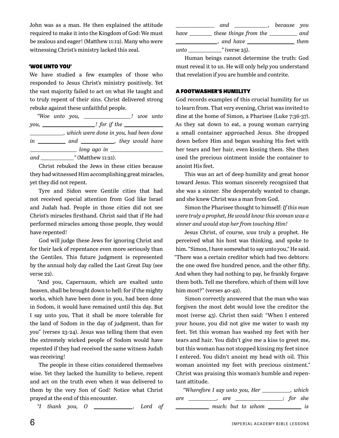John was as a man. He then explained the attitude required to make it into the Kingdom of God: We must be zealous and eager! (Matthew 11:12). Many who were witnessing Christ's ministry lacked this zeal.

#### 'WOE UNTO YOU'

We have studied a few examples of those who responded to Jesus Christ's ministry positively. Yet the vast majority failed to act on what He taught and to truly repent of their sins. Christ delivered strong rebuke against these unfaithful people.

|  | <i>"Woe unto you</i> , _____________________! woe unto |  |  |  |
|--|--------------------------------------------------------|--|--|--|
|  |                                                        |  |  |  |
|  | __, which were done in you, had been done              |  |  |  |
|  | in _____________ and _____________, they would have    |  |  |  |
|  | _____ long ago in _________________                    |  |  |  |
|  | and $\_\_\_\_\$ "(Matthew 11:21).                      |  |  |  |

Christ rebuked the Jews in these cities because they had witnessed Him accomplishing great miracles, yet they did not repent.

Tyre and Sidon were Gentile cities that had not received special attention from God like Israel and Judah had. People in those cities did not see Christ's miracles firsthand. Christ said that if He had performed miracles among those people, they would have repented!

God will judge these Jews for ignoring Christ and for their lack of repentance even more seriously than the Gentiles. This future judgment is represented by the annual holy day called the Last Great Day (see verse 22).

"And you, Capernaum, which are exalted unto heaven, shall be brought down to hell: for if the mighty works, which have been done in you, had been done in Sodom, it would have remained until this day. But I say unto you, That it shall be more tolerable for the land of Sodom in the day of judgment, than for you" (verses 23-24). Jesus was telling them that even the extremely wicked people of Sodom would have repented if they had received the same witness Judah was receiving!

The people in these cities considered themselves wise. Yet they lacked the humility to believe, repent and act on the truth even when it was delivered to them by the very Son of God! Notice what Christ prayed at the end of this encounter.

*"I thank you, O , Lord of* 

|      | and<br><b>Contract Contract Contract Contract</b> | because you |      |
|------|---------------------------------------------------|-------------|------|
| have | these things from the                             |             | and  |
|      | and have                                          |             | them |
| unto | $\cdot$ " (verse 25).                             |             |      |

Human beings cannot determine the truth: God must reveal it to us. He will only help you understand that revelation if you are humble and contrite.

#### A FOOTWASHER'S HUMILITY

God records examples of this crucial humility for us to learn from. That very evening, Christ was invited to dine at the home of Simon, a Pharisee (Luke 7:36-37). As they sat down to eat, a young woman carrying a small container approached Jesus. She dropped down before Him and began washing His feet with her tears and her hair, even kissing them. She then used the precious ointment inside the container to anoint His feet.

This was an act of deep humility and great honor toward Jesus. This woman sincerely recognized that she was a sinner. She desperately wanted to change, and she knew Christ was a man from God.

Simon the Pharisee thought to himself: *If this man were truly a prophet, He would know this woman was a sinner and would stop her from touching Him!*

Jesus Christ, of course, *was* truly a prophet. He perceived what his host was thinking, and spoke to him. "Simon, I have somewhat to say unto you," He said. "There was a certain creditor which had two debtors: the one owed five hundred pence, and the other fifty. And when they had nothing to pay, he frankly forgave them both. Tell me therefore, which of them will love him most?" (verses 40-42).

Simon correctly answered that the man who was forgiven the most debt would love the creditor the most (verse 43). Christ then said: "When I entered your house, you did not give me water to wash my feet. Yet this woman has washed my feet with her tears and hair. You didn't give me a kiss to greet me, but this woman has not stopped kissing my feet since I entered. You didn't anoint my head with oil. This woman anointed my feet with precious ointment." Christ was praising this woman's humble and repentant attitude.

| "Wherefore I say unto you, Her | , which              |
|--------------------------------|----------------------|
| are<br>are,                    | $\therefore$ for she |
| much: but to whom              | is                   |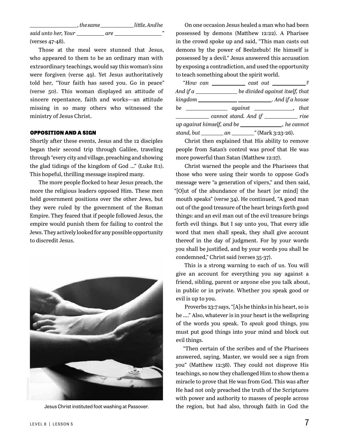*, the same little. And he said unto her, Your are   "*  (verses 47-48).

Those at the meal were stunned that Jesus, who appeared to them to be an ordinary man with extraordinary teachings, would say this woman's sins were forgiven (verse 49). Yet Jesus authoritatively told her, "Your faith has saved you. Go in peace" (verse 50). This woman displayed an attitude of sincere repentance, faith and works—an attitude missing in so many others who witnessed the ministry of Jesus Christ.

#### OPPOSITION AND A SIGN

Shortly after these events, Jesus and the 12 disciples began their second trip through Galilee, traveling through "every city and village, preaching and showing the glad tidings of the kingdom of God …" (Luke 8:1). This hopeful, thrilling message inspired many.

The more people flocked to hear Jesus preach, the more the religious leaders opposed Him. These men held government positions over the other Jews, but they were ruled by the government of the Roman Empire. They feared that if people followed Jesus, the empire would punish them for failing to control the Jews. They actively looked for any possible opportunity to discredit Jesus.



On one occasion Jesus healed a man who had been possessed by demons (Matthew 12:22). A Pharisee in the crowd spoke up and said, "This man casts out demons by the power of Beelzebub! He himself is possessed by a devil." Jesus answered this accusation by exposing a contradiction, and used the opportunity to teach something about the spirit world.

|                                                                         | "How can _____________ cast out ___________? |  |
|-------------------------------------------------------------------------|----------------------------------------------|--|
|                                                                         |                                              |  |
| kingdom ________________________________. And if a house                |                                              |  |
| $be \underline{\hspace{2cm}}$ against $\underline{\hspace{2cm}}$ , that |                                              |  |
| cannot stand. And if ___________ rise                                   |                                              |  |
| $up$ against himself, and be $\_\_$                                     |                                              |  |
|                                                                         |                                              |  |

Christ then explained that His ability to remove people from Satan's control was proof that He was more powerful than Satan (Matthew 12:27).

Christ warned the people and the Pharisees that those who were using their words to oppose God's message were "a generation of vipers," and then said, "[O]ut of the abundance of the heart [or mind] the mouth speaks" (verse 34). He continued, "A good man out of the good treasure of the heart brings forth good things: and an evil man out of the evil treasure brings forth evil things. But I say unto you, That every idle word that men shall speak, they shall give account thereof in the day of judgment. For by your words you shall be justified, and by your words you shall be condemned," Christ said (verses 35-37).

This is a strong warning to each of us. You will give an account for everything you say against a friend, sibling, parent or anyone else you talk about, in public or in private. Whether you speak good or evil is up to you.

Proverbs 23:7 says, "[A]s he thinks in his heart, so is he …." Also, whatever is in your heart is the wellspring of the words you speak. To *speak* good things, you must put good things into your mind and block out evil things.

"Then certain of the scribes and of the Pharisees answered, saying, Master, we would see a sign from you" (Matthew 12:38). They could not disprove His teachings, so now they challenged Him to show them a miracle to prove that He was from God. This was after He had not only preached the truth of the Scriptures with power and authority to masses of people across Jesus Christ instituted foot washing at Passover. the region, but had also, through faith in God the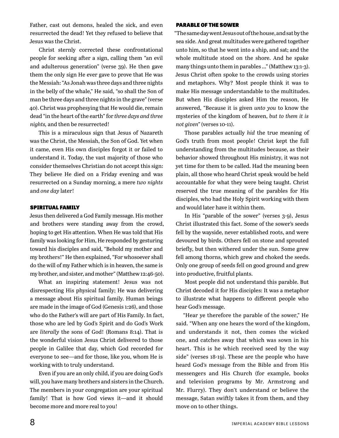Father, cast out demons, healed the sick, and even resurrected the dead! Yet they refused to believe that Jesus was the Christ.

Christ sternly corrected these confrontational people for seeking after a sign, calling them "an evil and adulterous generation" (verse 39). He then gave them the only sign He ever gave to prove that He was the Messiah: "As Jonah was three days and three nights in the belly of the whale," He said, "so shall the Son of man be three days and three nights in the grave" (verse 40). Christ was prophesying that He would die, remain dead "in the heart of the earth" for *three days and three nights,* and then be resurrected!

This is a miraculous sign that Jesus of Nazareth was the Christ, the Messiah, the Son of God. Yet when it came, even His own disciples forgot it or failed to understand it. Today, the vast majority of those who consider themselves Christian do not accept this sign: They believe He died on a Friday evening and was resurrected on a Sunday morning, a mere *two nights* and *one day* later!

#### SPIRITUAL FAMILY

Jesus then delivered a God Family message. His mother and brothers were standing away from the crowd, hoping to get His attention. When He was told that His family was looking for Him, He responded by gesturing toward his disciples and said, "Behold my mother and my brothers!" He then explained, "For whosoever shall do the will of my Father which is in heaven, the same is my brother, and sister, and mother" (Matthew 12:46-50).

What an inspiring statement! Jesus was not disrespecting His physical family; He was delivering a message about His spiritual family. Human beings are made in the image of God (Genesis 1:26), and those who do the Father's will are part of His Family. In fact, those who are led by God's Spirit and do God's Work are *literally* the sons of God! (Romans 8:14). That is the wonderful vision Jesus Christ delivered to those people in Galilee that day, which God recorded for everyone to see—and for those, like you, whom He is working with to truly understand.

Even if you are an only child, if you are doing God's will, you have many brothers and sisters in the Church. The members in your congregation are your spiritual family! That is how God views it—and it should become more and more real to you!

#### PARABLE OF THE SOWER

"The same day went Jesus out of the house, and sat by the sea side. And great multitudes were gathered together unto him, so that he went into a ship, and sat; and the whole multitude stood on the shore. And he spake many things unto them in parables …" (Matthew 13:1-3). Jesus Christ often spoke to the crowds using stories and metaphors. Why? Most people think it was to make His message understandable to the multitudes. But when His disciples asked Him the reason, He answered, "Because it is given *unto you* to know the mysteries of the kingdom of heaven, *but to them it is not given"* (verses 10-11).

Those parables actually *hid* the true meaning of God's truth from most people! Christ kept the full understanding from the multitudes because, as their behavior showed throughout His ministry, it was not yet time for them to be called. Had the meaning been plain, all those who heard Christ speak would be held accountable for what they were being taught. Christ reserved the true meaning of the parables for His disciples, who had the Holy Spirit working with them and would later have it within them.

In His "parable of the sower" (verses 3-9), Jesus Christ illustrated this fact. Some of the sower's seeds fell by the wayside, never established roots, and were devoured by birds. Others fell on stone and sprouted briefly, but then withered under the sun. Some grew fell among thorns, which grew and choked the seeds. Only one group of seeds fell on good ground and grew into productive, fruitful plants.

Most people did not understand this parable. But Christ decoded it for His disciples: It was a metaphor to illustrate what happens to different people who hear God's message.

"Hear ye therefore the parable of the sower," He said. "When any one hears the word of the kingdom, and understands it not, then comes the wicked one, and catches away that which was sown in his heart. This is he which received seed by the way side" (verses 18-19). These are the people who have heard God's message from the Bible and from His messengers and His Church (for example, books and television programs by Mr. Armstrong and Mr. Flurry). They don't understand or believe the message, Satan swiftly takes it from them, and they move on to other things.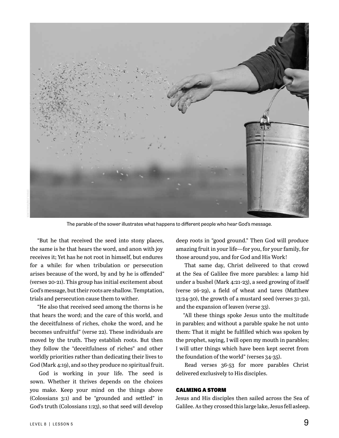

The parable of the sower illustrates what happens to different people who hear God's message.

"But he that received the seed into stony places, the same is he that hears the word, and anon with joy receives it; Yet has he not root in himself, but endures for a while: for when tribulation or persecution arises because of the word, by and by he is offended" (verses 20-21). This group has initial excitement about God's message, but their roots are shallow. Temptation, trials and persecution cause them to wither.

"He also that received seed among the thorns is he that hears the word; and the care of this world, and the deceitfulness of riches, choke the word, and he becomes unfruitful" (verse 22). These individuals are moved by the truth. They establish roots. But then they follow the "deceitfulness of riches" and other worldly priorities rather than dedicating their lives to God (Mark 4:19), and so they produce no spiritual fruit.

God is working in your life. The seed is sown. Whether it thrives depends on the choices you make. Keep your mind on the things above (Colossians 3:1) and be "grounded and settled" in God's truth (Colossians 1:23), so that seed will develop

deep roots in "good ground." Then God will produce amazing fruit in your life—for you, for your family, for those around you, and for God and His Work!

That same day, Christ delivered to that crowd at the Sea of Galilee five more parables: a lamp hid under a bushel (Mark 4:21-23), a seed growing of itself (verse 26-29), a field of wheat and tares (Matthew 13:24-30), the growth of a mustard seed (verses 31-32), and the expansion of leaven (verse 33).

"All these things spoke Jesus unto the multitude in parables; and without a parable spake he not unto them: That it might be fulfilled which was spoken by the prophet, saying, I will open my mouth in parables; I will utter things which have been kept secret from the foundation of the world" (verses 34-35).

Read verses 36-53 for more parables Christ delivered exclusively to His disciples.

#### CALMING A STORM

Jesus and His disciples then sailed across the Sea of Galilee. As they crossed this large lake, Jesus fell asleep.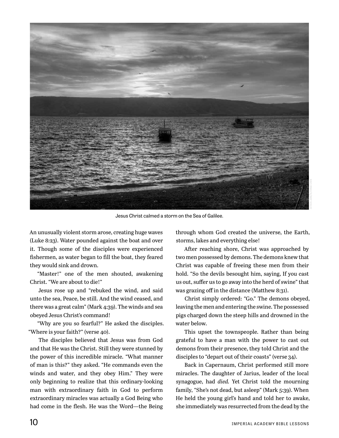

Jesus Christ calmed a storm on the Sea of Galilee.

An unusually violent storm arose, creating huge waves (Luke 8:23). Water pounded against the boat and over it. Though some of the disciples were experienced fishermen, as water began to fill the boat, they feared they would sink and drown.

"Master!" one of the men shouted, awakening Christ. "We are about to die!"

Jesus rose up and "rebuked the wind, and said unto the sea, Peace, be still. And the wind ceased, and there was a great calm" (Mark 4:39). The winds and sea obeyed Jesus Christ's command!

"Why are you so fearful?" He asked the disciples. "Where is your faith?" (verse 40).

The disciples believed that Jesus was from God and that He was the Christ. Still they were stunned by the power of this incredible miracle. "What manner of man is this?" they asked. "He commands even the winds and water, and they obey Him." They were only beginning to realize that this ordinary-looking man with extraordinary faith in God to perform extraordinary miracles was actually a God Being who had come in the flesh. He was the Word—the Being

through whom God created the universe, the Earth, storms, lakes and everything else!

After reaching shore, Christ was approached by two men possessed by demons. The demons knew that Christ was capable of freeing these men from their hold. "So the devils besought him, saying, If you cast us out, suffer us to go away into the herd of swine" that was grazing off in the distance (Matthew 8:31).

Christ simply ordered: "Go." The demons obeyed, leaving the men and entering the swine. The possessed pigs charged down the steep hills and drowned in the water below.

This upset the townspeople. Rather than being grateful to have a man with the power to cast out demons from their presence, they told Christ and the disciples to "depart out of their coasts" (verse 34).

Back in Capernaum, Christ performed still more miracles. The daughter of Jarius, leader of the local synagogue, had *died.* Yet Christ told the mourning family, "She's not dead, but asleep" (Mark 5:39). When He held the young girl's hand and told her to awake, she immediately was resurrected from the dead by the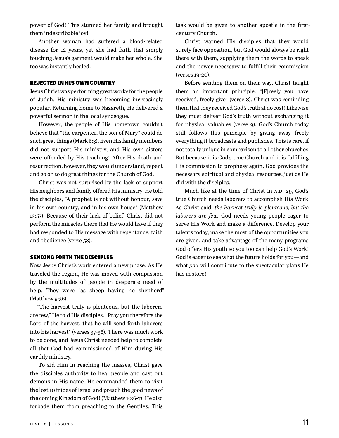power of God! This stunned her family and brought them indescribable joy!

Another woman had suffered a blood-related disease for 12 years, yet she had faith that simply touching Jesus's garment would make her whole. She too was instantly healed.

#### REJECTED IN HIS OWN COUNTRY

Jesus Christ was performing great works for the people of Judah. His ministry was becoming increasingly popular. Returning home to Nazareth, He delivered a powerful sermon in the local synagogue.

However, the people of His hometown couldn't believe that "the carpenter, the son of Mary" could do such great things (Mark 6:3). Even His family members did not support His ministry, and His own sisters were offended by His teaching! After His death and resurrection, however, they would understand, repent and go on to do great things for the Church of God.

Christ was not surprised by the lack of support His neighbors and family offered His ministry. He told the disciples, "A prophet is not without honour, save in his own country, and in his own house" (Matthew 13:57). Because of their lack of belief, Christ did not perform the miracles there that He would have if they had responded to His message with repentance, faith and obedience (verse 58).

#### SENDING FORTH THE DISCIPLES

Now Jesus Christ's work entered a new phase. As He traveled the region, He was moved with compassion by the multitudes of people in desperate need of help. They were "as sheep having no shepherd" (Matthew 9:36).

"The harvest truly is plenteous, but the laborers are few," He told His disciples. "Pray you therefore the Lord of the harvest, that he will send forth laborers into his harvest" (verses 37-38). There was much work to be done, and Jesus Christ needed help to complete all that God had commissioned of Him during His earthly ministry.

To aid Him in reaching the masses, Christ gave the disciples authority to heal people and cast out demons in His name. He commanded them to visit the lost 10 tribes of Israel and preach the good news of the coming Kingdom of God! (Matthew 10:6-7). He also forbade them from preaching to the Gentiles. This

task would be given to another apostle in the firstcentury Church.

Christ warned His disciples that they would surely face opposition, but God would always be right there with them, supplying them the words to speak and the power necessary to fulfill their commission (verses 19-20).

Before sending them on their way, Christ taught them an important principle: "[F]reely you have received, freely give" (verse 8). Christ was reminding them that they received God's truth at no cost! Likewise, they must deliver God's truth without exchanging it for physical valuables (verse 9). God's Church today still follows this principle by giving away freely everything it broadcasts and publishes. This is rare, if not totally unique in comparison to all other churches. But because it is God's true Church and it is fulfilling His commission to prophesy again, God provides the necessary spiritual and physical resources, just as He did with the disciples.

Much like at the time of Christ in A.D. 29, God's true Church needs laborers to accomplish His Work. As Christ said, *the harvest truly is plenteous, but the laborers are few.* God needs young people eager to serve His Work and make a difference. Develop your talents today, make the most of the opportunities you are given, and take advantage of the many programs God offers His youth so you too can help God's Work! God is eager to see what the future holds for you—and what *you* will contribute to the spectacular plans He has in store!